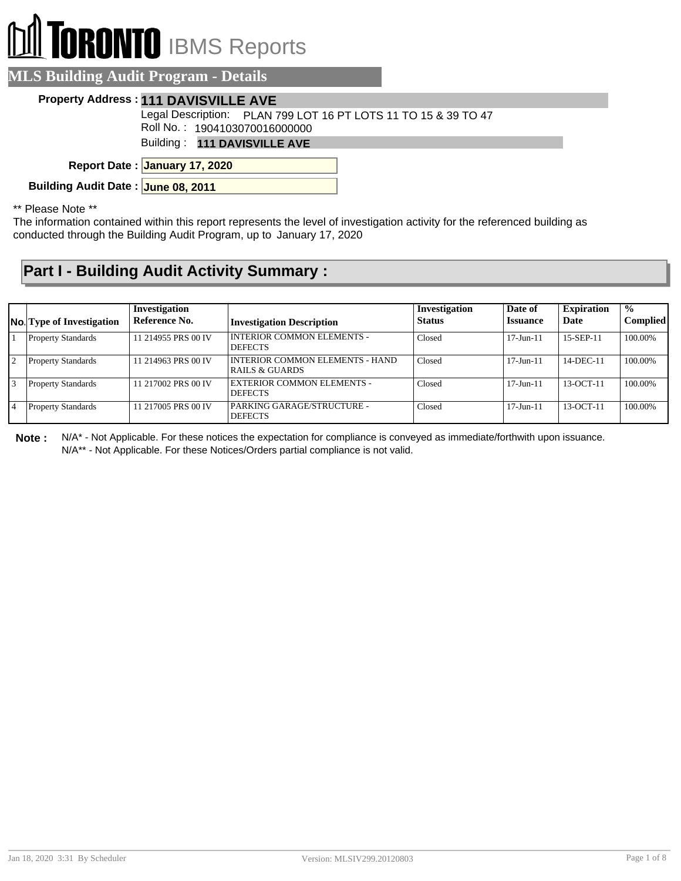## **ORONTO** IBMS Reports

| <b>ALS Building Audit Program - Details</b> |                                                                                                 |  |  |  |  |  |  |
|---------------------------------------------|-------------------------------------------------------------------------------------------------|--|--|--|--|--|--|
|                                             | Property Address: 111 DAVISVILLE AVE                                                            |  |  |  |  |  |  |
|                                             | Legal Description: PLAN 799 LOT 16 PT LOTS 11 TO 15 & 39 TO 47<br>Roll No.: 1904103070016000000 |  |  |  |  |  |  |
|                                             | Building: 111 DAVISVILLE AVE                                                                    |  |  |  |  |  |  |
|                                             | Report Date: January 17, 2020                                                                   |  |  |  |  |  |  |

**Building Audit Date : June 08, 2011**

\*\* Please Note \*\*

The information contained within this report represents the level of investigation activity for the referenced building as conducted through the Building Audit Program, up to January 17, 2020

## **Part I - Building Audit Activity Summary :**

|                | <b>No.</b> Type of Investigation | Investigation<br>Reference No. | <b>Investigation Description</b>                                    | Investigation<br><b>Status</b> | Date of<br><b>Issuance</b> | <b>Expiration</b><br>Date | $\frac{1}{2}$<br><b>Complied</b> |
|----------------|----------------------------------|--------------------------------|---------------------------------------------------------------------|--------------------------------|----------------------------|---------------------------|----------------------------------|
|                | <b>Property Standards</b>        | 11 214955 PRS 00 IV            | <b>INTERIOR COMMON ELEMENTS -</b><br><b>DEFECTS</b>                 | Closed                         | $17 - Jun - 11$            | 15-SEP-11                 | 100.00%                          |
| $\overline{2}$ | <b>Property Standards</b>        | 11 214963 PRS 00 IV            | <b>INTERIOR COMMON ELEMENTS - HAND</b><br><b>RAILS &amp; GUARDS</b> | Closed                         | $17 - Jun - 11$            | 14-DEC-11                 | 100.00%                          |
| 3              | <b>Property Standards</b>        | 11 217002 PRS 00 IV            | <b>EXTERIOR COMMON ELEMENTS -</b><br><b>DEFECTS</b>                 | Closed                         | $17 - Jun - 11$            | $13-OCT-11$               | 100.00%                          |
|                | <b>Property Standards</b>        | 11 217005 PRS 00 IV            | PARKING GARAGE/STRUCTURE -<br><b>DEFECTS</b>                        | Closed                         | $17 - Jun - 11$            | $13-OCT-11$               | 100.00%                          |

**Note :** N/A\* - Not Applicable. For these notices the expectation for compliance is conveyed as immediate/forthwith upon issuance. N/A\*\* - Not Applicable. For these Notices/Orders partial compliance is not valid.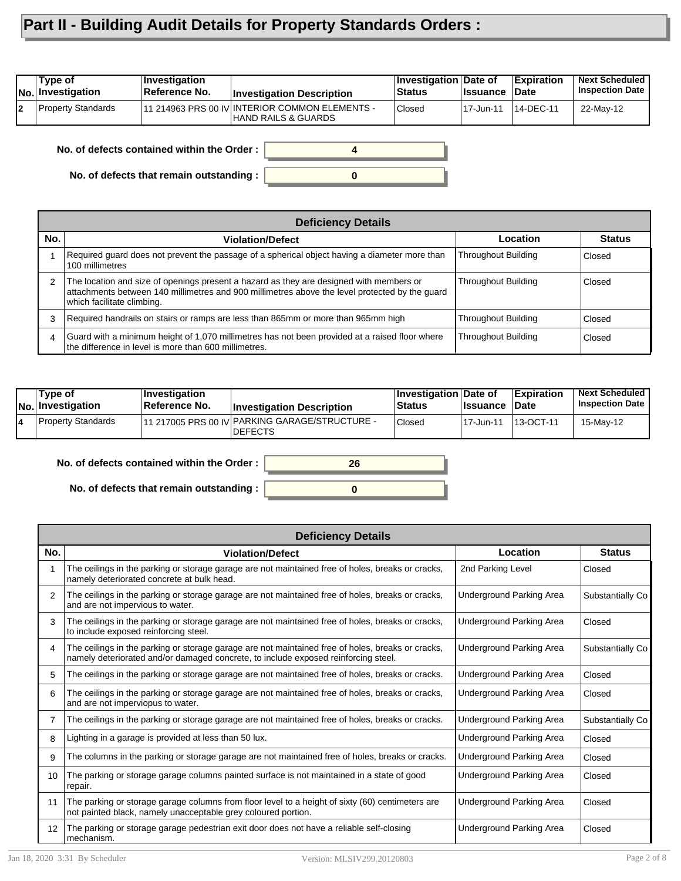## **Part II - Building Audit Details for Property Standards Orders :**

| Tvpe of<br><b>INo.</b> Investigation | <b>Investigation</b><br>Reference No. | <b>Investigation Description</b>                                       | Investigation Date of<br><b>Status</b> | <b>Ilssuance</b> | <b>Expiration</b><br><b>Date</b> | <b>Next Scheduled</b><br><b>Inspection Date</b> |
|--------------------------------------|---------------------------------------|------------------------------------------------------------------------|----------------------------------------|------------------|----------------------------------|-------------------------------------------------|
| <b>Property Standards</b>            |                                       | 111 214963 PRS 00 IV INTERIOR COMMON ELEMENTS -<br>HAND RAILS & GUARDS | Closed                                 | 17-Jun-11        | 14-DEC-11                        | 22-May-12                                       |

**No. of defects contained within the Order :**

**No. of defects that remain outstanding :**

|                | <b>Deficiency Details</b>                                                                                                                                                                                               |                            |               |  |  |  |  |  |
|----------------|-------------------------------------------------------------------------------------------------------------------------------------------------------------------------------------------------------------------------|----------------------------|---------------|--|--|--|--|--|
| No.            | <b>Violation/Defect</b>                                                                                                                                                                                                 | <b>Location</b>            | <b>Status</b> |  |  |  |  |  |
|                | Required guard does not prevent the passage of a spherical object having a diameter more than<br>100 millimetres                                                                                                        | <b>Throughout Building</b> | Closed        |  |  |  |  |  |
| 2              | The location and size of openings present a hazard as they are designed with members or<br>attachments between 140 millimetres and 900 millimetres above the level protected by the quard<br>which facilitate climbing. | <b>Throughout Building</b> | Closed        |  |  |  |  |  |
| 3              | Required handrails on stairs or ramps are less than 865mm or more than 965mm high                                                                                                                                       | <b>Throughout Building</b> | Closed        |  |  |  |  |  |
| $\overline{4}$ | Guard with a minimum height of 1,070 millimetres has not been provided at a raised floor where<br>the difference in level is more than 600 millimetres.                                                                 | <b>Throughout Building</b> | Closed        |  |  |  |  |  |

**0**

**4**

| Tvpe of<br>No. Investigation | $\vert$ Investigation<br><b>Reference No.</b> | <b>Investigation Description</b>                                 | Investigation Date of<br><b>Status</b> | <b>∣Issuance</b> | <b>Expiration</b><br>∣Date | <b>Next Scheduled</b><br><b>Inspection Date</b> |
|------------------------------|-----------------------------------------------|------------------------------------------------------------------|----------------------------------------|------------------|----------------------------|-------------------------------------------------|
| Property Standards           |                                               | 11 217005 PRS 00 IV PARKING GARAGE/STRUCTURE -<br><b>DEFECTS</b> | Closed                                 | 17-Jun-11        | 13-OCT-11                  | 15-Mav-12                                       |

**No. of defects contained within the Order :**

**No. of defects that remain outstanding :**



|                   | <b>Deficiency Details</b>                                                                                                                                                               |                          |                  |  |  |  |  |  |
|-------------------|-----------------------------------------------------------------------------------------------------------------------------------------------------------------------------------------|--------------------------|------------------|--|--|--|--|--|
| No.               | <b>Violation/Defect</b>                                                                                                                                                                 | Location                 | <b>Status</b>    |  |  |  |  |  |
|                   | The ceilings in the parking or storage garage are not maintained free of holes, breaks or cracks,<br>namely deteriorated concrete at bulk head.                                         | 2nd Parking Level        | Closed           |  |  |  |  |  |
| 2                 | The ceilings in the parking or storage garage are not maintained free of holes, breaks or cracks,<br>and are not impervious to water.                                                   | Underground Parking Area | Substantially Co |  |  |  |  |  |
| 3                 | The ceilings in the parking or storage garage are not maintained free of holes, breaks or cracks,<br>to include exposed reinforcing steel.                                              | Underground Parking Area | Closed           |  |  |  |  |  |
| 4                 | The ceilings in the parking or storage garage are not maintained free of holes, breaks or cracks,<br>namely deteriorated and/or damaged concrete, to include exposed reinforcing steel. | Underground Parking Area | Substantially Co |  |  |  |  |  |
| 5                 | The ceilings in the parking or storage garage are not maintained free of holes, breaks or cracks.                                                                                       | Underground Parking Area | Closed           |  |  |  |  |  |
| 6                 | The ceilings in the parking or storage garage are not maintained free of holes, breaks or cracks,<br>and are not imperviopus to water.                                                  | Underground Parking Area | Closed           |  |  |  |  |  |
| 7                 | The ceilings in the parking or storage garage are not maintained free of holes, breaks or cracks.                                                                                       | Underground Parking Area | Substantially Co |  |  |  |  |  |
| 8                 | Lighting in a garage is provided at less than 50 lux.                                                                                                                                   | Underground Parking Area | Closed           |  |  |  |  |  |
| 9                 | The columns in the parking or storage garage are not maintained free of holes, breaks or cracks.                                                                                        | Underground Parking Area | Closed           |  |  |  |  |  |
| 10 <sup>°</sup>   | The parking or storage garage columns painted surface is not maintained in a state of good<br>repair.                                                                                   | Underground Parking Area | Closed           |  |  |  |  |  |
| 11                | The parking or storage garage columns from floor level to a height of sixty (60) centimeters are<br>not painted black, namely unacceptable grey coloured portion.                       | Underground Parking Area | Closed           |  |  |  |  |  |
| $12 \overline{ }$ | The parking or storage garage pedestrian exit door does not have a reliable self-closing<br>mechanism.                                                                                  | Underground Parking Area | Closed           |  |  |  |  |  |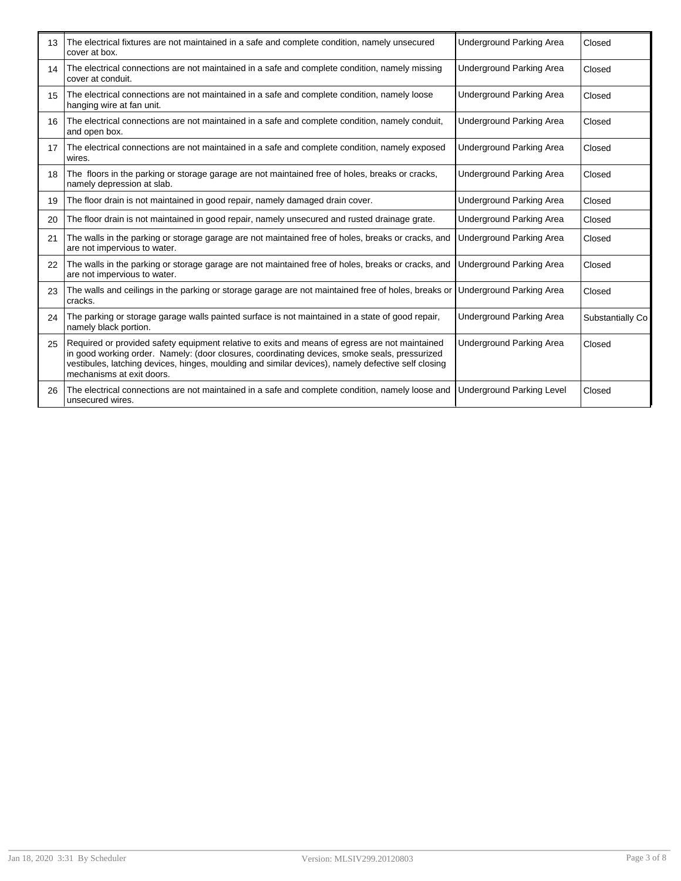| 13 | The electrical fixtures are not maintained in a safe and complete condition, namely unsecured<br>cover at box.                                                                                                                                                                                                                     | <b>Underground Parking Area</b>  | Closed           |
|----|------------------------------------------------------------------------------------------------------------------------------------------------------------------------------------------------------------------------------------------------------------------------------------------------------------------------------------|----------------------------------|------------------|
| 14 | The electrical connections are not maintained in a safe and complete condition, namely missing<br>cover at conduit.                                                                                                                                                                                                                | <b>Underground Parking Area</b>  | Closed           |
| 15 | The electrical connections are not maintained in a safe and complete condition, namely loose<br>hanging wire at fan unit.                                                                                                                                                                                                          | <b>Underground Parking Area</b>  | Closed           |
| 16 | The electrical connections are not maintained in a safe and complete condition, namely conduit,<br>and open box.                                                                                                                                                                                                                   | <b>Underground Parking Area</b>  | Closed           |
| 17 | The electrical connections are not maintained in a safe and complete condition, namely exposed<br>wires.                                                                                                                                                                                                                           | Underground Parking Area         | Closed           |
| 18 | The floors in the parking or storage garage are not maintained free of holes, breaks or cracks,<br>namely depression at slab.                                                                                                                                                                                                      | <b>Underground Parking Area</b>  | Closed           |
| 19 | The floor drain is not maintained in good repair, namely damaged drain cover.                                                                                                                                                                                                                                                      | <b>Underground Parking Area</b>  | Closed           |
| 20 | The floor drain is not maintained in good repair, namely unsecured and rusted drainage grate.                                                                                                                                                                                                                                      | Underground Parking Area         | Closed           |
| 21 | The walls in the parking or storage garage are not maintained free of holes, breaks or cracks, and<br>are not impervious to water.                                                                                                                                                                                                 | <b>Underground Parking Area</b>  | Closed           |
| 22 | The walls in the parking or storage garage are not maintained free of holes, breaks or cracks, and<br>are not impervious to water.                                                                                                                                                                                                 | <b>Underground Parking Area</b>  | Closed           |
| 23 | The walls and ceilings in the parking or storage garage are not maintained free of holes, breaks or<br>cracks.                                                                                                                                                                                                                     | <b>Underground Parking Area</b>  | Closed           |
| 24 | The parking or storage garage walls painted surface is not maintained in a state of good repair,<br>namely black portion.                                                                                                                                                                                                          | <b>Underground Parking Area</b>  | Substantially Co |
| 25 | Required or provided safety equipment relative to exits and means of egress are not maintained<br>in good working order. Namely: (door closures, coordinating devices, smoke seals, pressurized<br>vestibules, latching devices, hinges, moulding and similar devices), namely defective self closing<br>mechanisms at exit doors. | <b>Underground Parking Area</b>  | Closed           |
| 26 | The electrical connections are not maintained in a safe and complete condition, namely loose and<br>unsecured wires.                                                                                                                                                                                                               | <b>Underground Parking Level</b> | Closed           |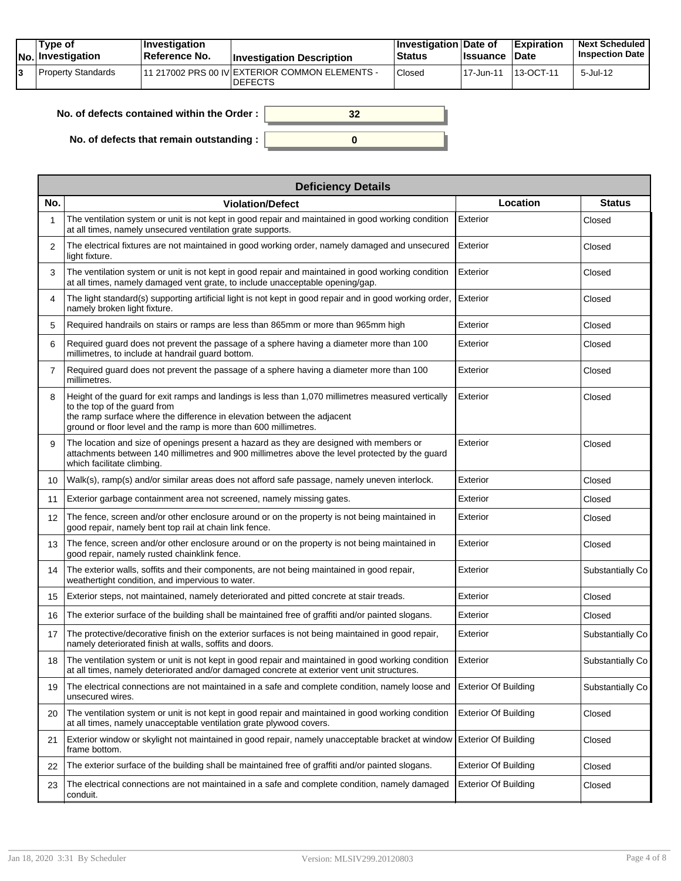| Tvpe of<br>$ No $ Investigation | $\blacksquare$ Investigation<br>Reference No. | <b>Investigation Description</b>                                 | <b>∐nvestigation Date of</b><br>Status | <b>Issuance Date</b> | <b>Expiration</b> | <b>Next Scheduled</b><br><b>Inspection Date</b> |
|---------------------------------|-----------------------------------------------|------------------------------------------------------------------|----------------------------------------|----------------------|-------------------|-------------------------------------------------|
| Property Standards              |                                               | 11 217002 PRS 00 IV EXTERIOR COMMON ELEMENTS -<br><b>DEFECTS</b> | Closed                                 | 117-Jun-11           | 13-OCT-11         | $5$ -Jul-12                                     |

| No. of defects contained within the Order: |  |
|--------------------------------------------|--|
| No. of defects that remain outstanding :   |  |

|                   | <b>Deficiency Details</b>                                                                                                                                                                                                                                                         |                             |                  |  |  |  |  |  |
|-------------------|-----------------------------------------------------------------------------------------------------------------------------------------------------------------------------------------------------------------------------------------------------------------------------------|-----------------------------|------------------|--|--|--|--|--|
| No.               | <b>Violation/Defect</b>                                                                                                                                                                                                                                                           | Location                    | <b>Status</b>    |  |  |  |  |  |
|                   | The ventilation system or unit is not kept in good repair and maintained in good working condition<br>at all times, namely unsecured ventilation grate supports.                                                                                                                  | Exterior                    | Closed           |  |  |  |  |  |
| 2                 | The electrical fixtures are not maintained in good working order, namely damaged and unsecured<br>light fixture.                                                                                                                                                                  | Exterior                    | Closed           |  |  |  |  |  |
| 3                 | The ventilation system or unit is not kept in good repair and maintained in good working condition<br>at all times, namely damaged vent grate, to include unacceptable opening/gap.                                                                                               | Exterior                    | Closed           |  |  |  |  |  |
| 4                 | The light standard(s) supporting artificial light is not kept in good repair and in good working order,<br>namely broken light fixture.                                                                                                                                           | Exterior                    | Closed           |  |  |  |  |  |
| 5                 | Required handrails on stairs or ramps are less than 865mm or more than 965mm high                                                                                                                                                                                                 | Exterior                    | Closed           |  |  |  |  |  |
| 6                 | Required guard does not prevent the passage of a sphere having a diameter more than 100<br>millimetres, to include at handrail quard bottom.                                                                                                                                      | Exterior                    | Closed           |  |  |  |  |  |
| $\overline{7}$    | Required guard does not prevent the passage of a sphere having a diameter more than 100<br>millimetres.                                                                                                                                                                           | Exterior                    | Closed           |  |  |  |  |  |
| 8                 | Height of the guard for exit ramps and landings is less than 1,070 millimetres measured vertically<br>to the top of the guard from<br>the ramp surface where the difference in elevation between the adjacent<br>ground or floor level and the ramp is more than 600 millimetres. | Exterior                    | Closed           |  |  |  |  |  |
| 9                 | The location and size of openings present a hazard as they are designed with members or<br>attachments between 140 millimetres and 900 millimetres above the level protected by the guard<br>which facilitate climbing.                                                           | Exterior                    | Closed           |  |  |  |  |  |
| 10                | Walk(s), ramp(s) and/or similar areas does not afford safe passage, namely uneven interlock.                                                                                                                                                                                      | Exterior                    | Closed           |  |  |  |  |  |
| 11                | Exterior garbage containment area not screened, namely missing gates.                                                                                                                                                                                                             | Exterior                    | Closed           |  |  |  |  |  |
| $12 \overline{ }$ | The fence, screen and/or other enclosure around or on the property is not being maintained in<br>good repair, namely bent top rail at chain link fence.                                                                                                                           | Exterior                    | Closed           |  |  |  |  |  |
| 13                | The fence, screen and/or other enclosure around or on the property is not being maintained in<br>good repair, namely rusted chainklink fence.                                                                                                                                     | Exterior                    | Closed           |  |  |  |  |  |
| 14                | The exterior walls, soffits and their components, are not being maintained in good repair,<br>weathertight condition, and impervious to water.                                                                                                                                    | Exterior                    | Substantially Co |  |  |  |  |  |
| 15                | Exterior steps, not maintained, namely deteriorated and pitted concrete at stair treads.                                                                                                                                                                                          | Exterior                    | Closed           |  |  |  |  |  |
| 16                | The exterior surface of the building shall be maintained free of graffiti and/or painted slogans.                                                                                                                                                                                 | Exterior                    | Closed           |  |  |  |  |  |
| 17                | The protective/decorative finish on the exterior surfaces is not being maintained in good repair,<br>namely deteriorated finish at walls, soffits and doors.                                                                                                                      | Exterior                    | Substantially Co |  |  |  |  |  |
| 18                | The ventilation system or unit is not kept in good repair and maintained in good working condition<br>at all times, namely deteriorated and/or damaged concrete at exterior vent unit structures.                                                                                 | Exterior                    | Substantially Co |  |  |  |  |  |
| 19                | The electrical connections are not maintained in a safe and complete condition, namely loose and<br>unsecured wires.                                                                                                                                                              | <b>Exterior Of Building</b> | Substantially Co |  |  |  |  |  |
| 20                | The ventilation system or unit is not kept in good repair and maintained in good working condition<br>at all times, namely unacceptable ventilation grate plywood covers.                                                                                                         | <b>Exterior Of Building</b> | Closed           |  |  |  |  |  |
| 21                | Exterior window or skylight not maintained in good repair, namely unacceptable bracket at window<br>frame bottom.                                                                                                                                                                 | <b>Exterior Of Building</b> | Closed           |  |  |  |  |  |
| 22                | The exterior surface of the building shall be maintained free of graffiti and/or painted slogans.                                                                                                                                                                                 | <b>Exterior Of Building</b> | Closed           |  |  |  |  |  |
| 23                | The electrical connections are not maintained in a safe and complete condition, namely damaged<br>conduit.                                                                                                                                                                        | <b>Exterior Of Building</b> | Closed           |  |  |  |  |  |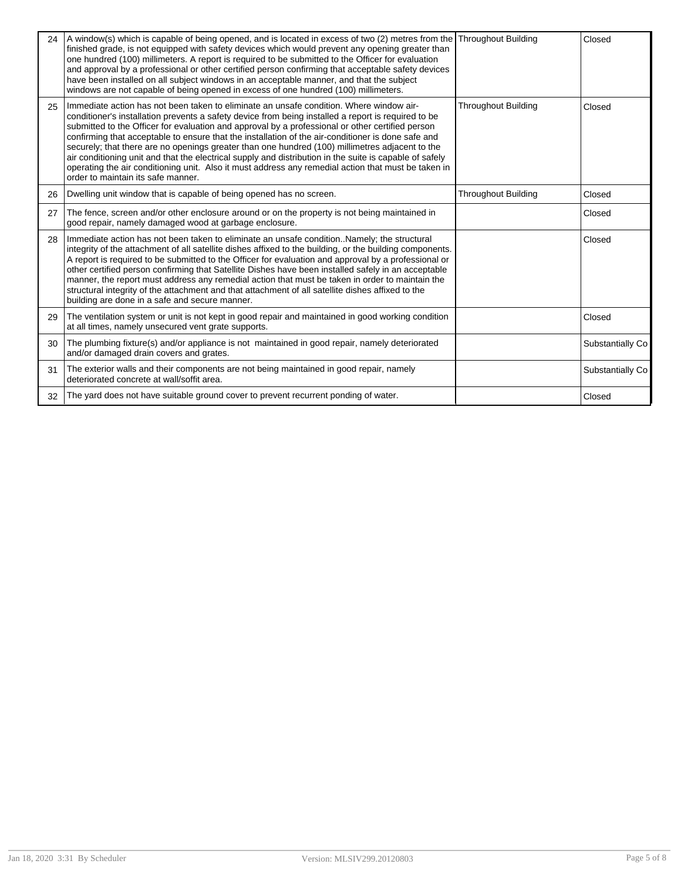| 24 | A window(s) which is capable of being opened, and is located in excess of two (2) metres from the Throughout Building<br>finished grade, is not equipped with safety devices which would prevent any opening greater than<br>one hundred (100) millimeters. A report is required to be submitted to the Officer for evaluation<br>and approval by a professional or other certified person confirming that acceptable safety devices<br>have been installed on all subject windows in an acceptable manner, and that the subject<br>windows are not capable of being opened in excess of one hundred (100) millimeters.                                                                                                                                             |                            | Closed           |
|----|---------------------------------------------------------------------------------------------------------------------------------------------------------------------------------------------------------------------------------------------------------------------------------------------------------------------------------------------------------------------------------------------------------------------------------------------------------------------------------------------------------------------------------------------------------------------------------------------------------------------------------------------------------------------------------------------------------------------------------------------------------------------|----------------------------|------------------|
| 25 | Immediate action has not been taken to eliminate an unsafe condition. Where window air-<br>conditioner's installation prevents a safety device from being installed a report is required to be<br>submitted to the Officer for evaluation and approval by a professional or other certified person<br>confirming that acceptable to ensure that the installation of the air-conditioner is done safe and<br>securely; that there are no openings greater than one hundred (100) millimetres adjacent to the<br>air conditioning unit and that the electrical supply and distribution in the suite is capable of safely<br>operating the air conditioning unit. Also it must address any remedial action that must be taken in<br>order to maintain its safe manner. | <b>Throughout Building</b> | Closed           |
| 26 | Dwelling unit window that is capable of being opened has no screen.                                                                                                                                                                                                                                                                                                                                                                                                                                                                                                                                                                                                                                                                                                 | <b>Throughout Building</b> | Closed           |
| 27 | The fence, screen and/or other enclosure around or on the property is not being maintained in<br>good repair, namely damaged wood at garbage enclosure.                                                                                                                                                                                                                                                                                                                                                                                                                                                                                                                                                                                                             |                            | Closed           |
| 28 | Immediate action has not been taken to eliminate an unsafe conditionNamely; the structural<br>integrity of the attachment of all satellite dishes affixed to the building, or the building components.<br>A report is required to be submitted to the Officer for evaluation and approval by a professional or<br>other certified person confirming that Satellite Dishes have been installed safely in an acceptable<br>manner, the report must address any remedial action that must be taken in order to maintain the<br>structural integrity of the attachment and that attachment of all satellite dishes affixed to the<br>building are done in a safe and secure manner.                                                                                     |                            | Closed           |
| 29 | The ventilation system or unit is not kept in good repair and maintained in good working condition<br>at all times, namely unsecured vent grate supports.                                                                                                                                                                                                                                                                                                                                                                                                                                                                                                                                                                                                           |                            | Closed           |
| 30 | The plumbing fixture(s) and/or appliance is not maintained in good repair, namely deteriorated<br>and/or damaged drain covers and grates.                                                                                                                                                                                                                                                                                                                                                                                                                                                                                                                                                                                                                           |                            | Substantially Co |
| 31 | The exterior walls and their components are not being maintained in good repair, namely<br>deteriorated concrete at wall/soffit area.                                                                                                                                                                                                                                                                                                                                                                                                                                                                                                                                                                                                                               |                            | Substantially Co |
| 32 | The yard does not have suitable ground cover to prevent recurrent ponding of water.                                                                                                                                                                                                                                                                                                                                                                                                                                                                                                                                                                                                                                                                                 |                            | Closed           |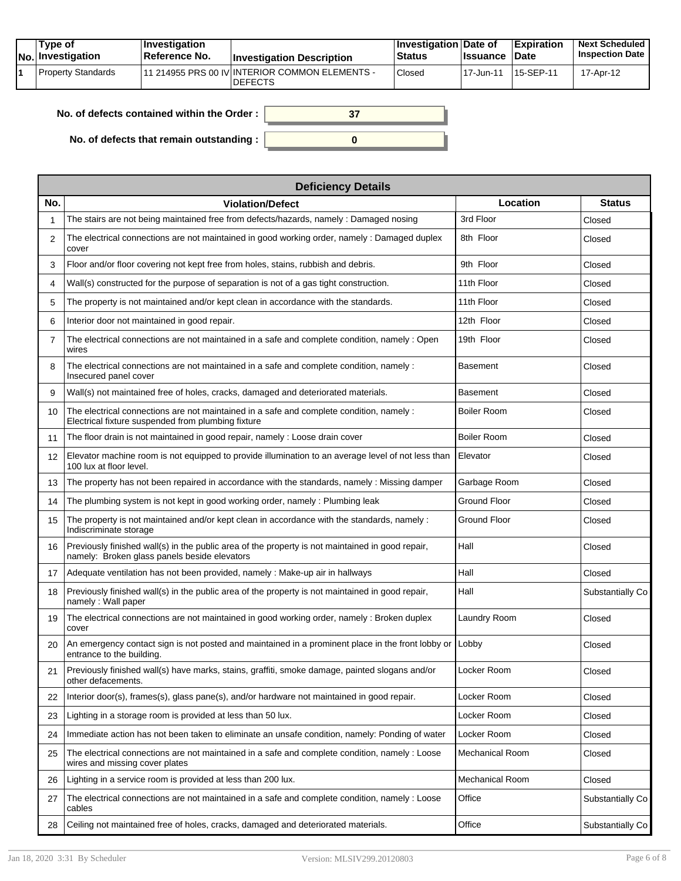|  | Tvpe of<br>$ No $ Investigation | $\blacksquare$ Investigation<br><b>∣Reference No.</b> | <b>Investigation Description</b>                                 | <b>∐nvestigation Date of</b><br><b>Status</b> | ∣Issuance  | <b>Expiration</b><br><b>Date</b> | <b>Next Scheduled</b><br><b>Inspection Date</b> |
|--|---------------------------------|-------------------------------------------------------|------------------------------------------------------------------|-----------------------------------------------|------------|----------------------------------|-------------------------------------------------|
|  | <b>Property Standards</b>       |                                                       | 11 214955 PRS 00 IV INTERIOR COMMON ELEMENTS -<br><b>DEFECTS</b> | Closed                                        | 117-Jun-11 | 15-SEP-11                        | 17-Apr-12                                       |

| No. of defects contained within the Order: |  |
|--------------------------------------------|--|
| No. of defects that remain outstanding :   |  |

|     | <b>Deficiency Details</b>                                                                                                                        |                    |                  |
|-----|--------------------------------------------------------------------------------------------------------------------------------------------------|--------------------|------------------|
| No. | <b>Violation/Defect</b>                                                                                                                          | Location           | <b>Status</b>    |
|     | The stairs are not being maintained free from defects/hazards, namely: Damaged nosing                                                            | 3rd Floor          | Closed           |
| 2   | The electrical connections are not maintained in good working order, namely: Damaged duplex<br>cover                                             | 8th Floor          | Closed           |
| 3   | Floor and/or floor covering not kept free from holes, stains, rubbish and debris.                                                                | 9th Floor          | Closed           |
| 4   | Wall(s) constructed for the purpose of separation is not of a gas tight construction.                                                            | 11th Floor         | Closed           |
| 5   | The property is not maintained and/or kept clean in accordance with the standards.                                                               | 11th Floor         | Closed           |
| 6   | Interior door not maintained in good repair.                                                                                                     | 12th Floor         | Closed           |
| 7   | The electrical connections are not maintained in a safe and complete condition, namely : Open<br>wires                                           | 19th Floor         | Closed           |
| 8   | The electrical connections are not maintained in a safe and complete condition, namely :<br>Insecured panel cover                                | Basement           | Closed           |
| 9   | Wall(s) not maintained free of holes, cracks, damaged and deteriorated materials.                                                                | Basement           | Closed           |
| 10  | The electrical connections are not maintained in a safe and complete condition, namely :<br>Electrical fixture suspended from plumbing fixture   | Boiler Room        | Closed           |
| 11  | The floor drain is not maintained in good repair, namely: Loose drain cover                                                                      | <b>Boiler Room</b> | Closed           |
| 12  | Elevator machine room is not equipped to provide illumination to an average level of not less than<br>100 lux at floor level.                    | Elevator           | Closed           |
| 13  | The property has not been repaired in accordance with the standards, namely : Missing damper                                                     | Garbage Room       | Closed           |
| 14  | The plumbing system is not kept in good working order, namely: Plumbing leak                                                                     | Ground Floor       | Closed           |
| 15  | The property is not maintained and/or kept clean in accordance with the standards, namely :<br>Indiscriminate storage                            | Ground Floor       | Closed           |
| 16  | Previously finished wall(s) in the public area of the property is not maintained in good repair,<br>namely: Broken glass panels beside elevators | Hall               | Closed           |
| 17  | Adequate ventilation has not been provided, namely : Make-up air in hallways                                                                     | Hall               | Closed           |
| 18  | Previously finished wall(s) in the public area of the property is not maintained in good repair,<br>namely: Wall paper                           | Hall               | Substantially Co |
| 19  | The electrical connections are not maintained in good working order, namely : Broken duplex<br>cover                                             | Laundry Room       | Closed           |
| 20  | An emergency contact sign is not posted and maintained in a prominent place in the front lobby or Lobby<br>entrance to the building.             |                    | Closed           |
| 21  | Previously finished wall(s) have marks, stains, graffiti, smoke damage, painted slogans and/or<br>other defacements.                             | Locker Room        | Closed           |
| 22  | Interior door(s), frames(s), glass pane(s), and/or hardware not maintained in good repair.                                                       | Locker Room        | Closed           |
| 23  | Lighting in a storage room is provided at less than 50 lux.                                                                                      | Locker Room        | Closed           |
| 24  | Immediate action has not been taken to eliminate an unsafe condition, namely: Ponding of water                                                   | Locker Room        | Closed           |
| 25  | The electrical connections are not maintained in a safe and complete condition, namely : Loose<br>wires and missing cover plates                 | Mechanical Room    | Closed           |
| 26  | Lighting in a service room is provided at less than 200 lux.                                                                                     | Mechanical Room    | Closed           |
| 27  | The electrical connections are not maintained in a safe and complete condition, namely: Loose<br>cables                                          | Office             | Substantially Co |
| 28  | Ceiling not maintained free of holes, cracks, damaged and deteriorated materials.                                                                | Office             | Substantially Co |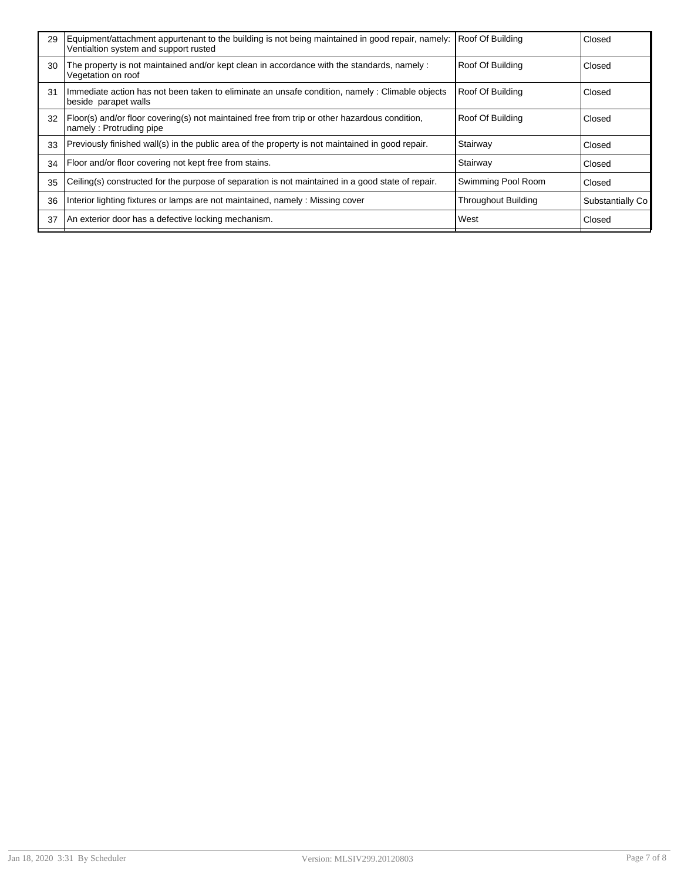| 29 | Equipment/attachment appurtenant to the building is not being maintained in good repair, namely:<br>Ventialtion system and support rusted | Roof Of Building           | Closed           |
|----|-------------------------------------------------------------------------------------------------------------------------------------------|----------------------------|------------------|
| 30 | The property is not maintained and/or kept clean in accordance with the standards, namely:<br>Vegetation on roof                          | Roof Of Building           | Closed           |
| 31 | Immediate action has not been taken to eliminate an unsafe condition, namely: Climable objects<br>beside parapet walls                    | Roof Of Building           | Closed           |
| 32 | Floor(s) and/or floor covering(s) not maintained free from trip or other hazardous condition,<br>namely: Protruding pipe                  | Roof Of Building           | Closed           |
| 33 | Previously finished wall(s) in the public area of the property is not maintained in good repair.                                          | Stairway                   | Closed           |
| 34 | Floor and/or floor covering not kept free from stains.                                                                                    | Stairway                   | Closed           |
| 35 | Ceiling(s) constructed for the purpose of separation is not maintained in a good state of repair.                                         | Swimming Pool Room         | Closed           |
| 36 | Interior lighting fixtures or lamps are not maintained, namely: Missing cover                                                             | <b>Throughout Building</b> | Substantially Co |
| 37 | An exterior door has a defective locking mechanism.                                                                                       | West                       | Closed           |